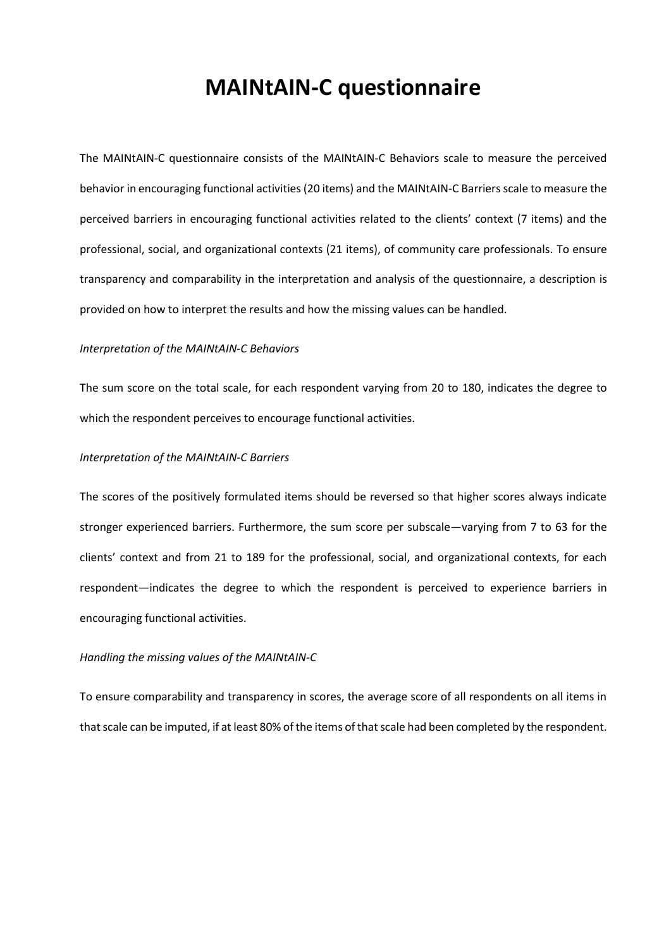## **MAINtAIN-C questionnaire**

The MAINtAIN-C questionnaire consists of the MAINtAIN-C Behaviors scale to measure the perceived behavior in encouraging functional activities (20 items) and the MAINtAIN-C Barriers scale to measure the perceived barriers in encouraging functional activities related to the clients' context (7 items) and the professional, social, and organizational contexts (21 items), of community care professionals. To ensure transparency and comparability in the interpretation and analysis of the questionnaire, a description is provided on how to interpret the results and how the missing values can be handled.

#### *Interpretation of the MAINtAIN-C Behaviors*

The sum score on the total scale, for each respondent varying from 20 to 180, indicates the degree to which the respondent perceives to encourage functional activities.

### *Interpretation of the MAINtAIN-C Barriers*

The scores of the positively formulated items should be reversed so that higher scores always indicate stronger experienced barriers. Furthermore, the sum score per subscale—varying from 7 to 63 for the clients' context and from 21 to 189 for the professional, social, and organizational contexts, for each respondent—indicates the degree to which the respondent is perceived to experience barriers in encouraging functional activities.

#### *Handling the missing values of the MAINtAIN-C*

To ensure comparability and transparency in scores, the average score of all respondents on all items in that scale can be imputed, if at least 80% of the items of that scale had been completed by the respondent.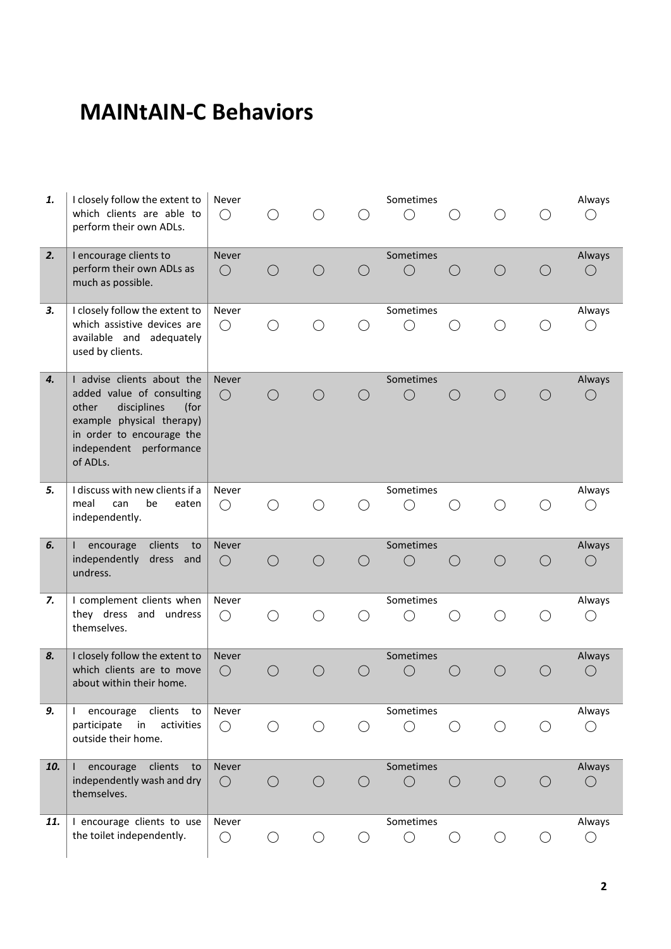# **MAINtAIN-C Behaviors**

| 1.  | I closely follow the extent to<br>which clients are able to<br>perform their own ADLs.                                                                                                   | Never<br>$\bigcirc$        |            |            |            | Sometimes<br>$( \ )$    |            |            |            | Always<br>$\left(\right)$  |
|-----|------------------------------------------------------------------------------------------------------------------------------------------------------------------------------------------|----------------------------|------------|------------|------------|-------------------------|------------|------------|------------|----------------------------|
| 2.  | I encourage clients to<br>perform their own ADLs as<br>much as possible.                                                                                                                 | <b>Never</b><br>$\bigcirc$ | ( )        | $\bigcirc$ | $($ )      | Sometimes<br>$\bigcirc$ | $($ )      | $\bigcirc$ | ( )        | Always<br>$\bigcirc$       |
| 3.  | I closely follow the extent to<br>which assistive devices are<br>available and adequately<br>used by clients.                                                                            | Never<br>$\bigcirc$        | ()         | $( \ )$    |            | Sometimes<br>O          | $($ )      | ( )        | $\bigcirc$ | Always<br>$\left(\right)$  |
| 4.  | I advise clients about the<br>added value of consulting<br>other<br>disciplines<br>(for<br>example physical therapy)<br>in order to encourage the<br>independent performance<br>of ADLs. | <b>Never</b><br>$\bigcirc$ | $\bigcirc$ | $\bigcirc$ |            | Sometimes<br>$\bigcirc$ | $($ )      | $\bigcirc$ | $( \ )$    | Always<br>$\left( \right)$ |
| 5.  | I discuss with new clients if a<br>meal<br>can<br>be<br>eaten<br>independently.                                                                                                          | Never<br>$\bigcirc$        | $\bigcirc$ | ◯          |            | Sometimes<br>◯          | ( )        |            | $\bigcirc$ | Always                     |
| 6.  | encourage<br>clients<br>to<br>$\mathbf{I}$<br>independently<br>dress<br>and<br>undress.                                                                                                  | <b>Never</b><br>$\bigcirc$ | $\bigcirc$ | $\bigcirc$ | $\bigcirc$ | Sometimes<br>$\bigcirc$ | $\bigcirc$ | $\bigcap$  | $\bigcirc$ | Always<br>$\bigcirc$       |
| 7.  | I complement clients when<br>they dress and undress<br>themselves.                                                                                                                       | Never<br>$\bigcirc$        | ()         | $\bigcirc$ | $($ )      | Sometimes<br>O          | ( )        | $\bigcirc$ | $( \ )$    | Always<br>$\bigcirc$       |
| 8.  | I closely follow the extent to<br>which clients are to move<br>about within their home.                                                                                                  | Never<br>$\bigcirc$        | ( )        | $\bigcirc$ | $($ )      | Sometimes<br>$\bigcirc$ |            |            |            | Always<br>$\left( \right)$ |
| 9.  | encourage<br>clients<br>$\mathbf{I}$<br>to<br>participate<br>in<br>activities<br>outside their home.                                                                                     | Never<br>$\bigcirc$        | O          | $\bigcirc$ | $($ )      | Sometimes<br>$\bigcirc$ | O          | $\bigcirc$ |            | Always<br>$($ )            |
| 10. | encourage<br>clients<br>$\perp$<br>to<br>independently wash and dry<br>themselves.                                                                                                       | Never<br>$\bigcirc$        | $\bigcirc$ | $\bigcirc$ | $\bigcirc$ | Sometimes<br>$\bigcirc$ | $\bigcirc$ | $\bigcirc$ | $\bigcirc$ | Always<br>$\left( \right)$ |
| 11. | I encourage clients to use<br>the toilet independently.                                                                                                                                  | Never<br>$\bigcirc$        | $\bigcirc$ | $\bigcirc$ | $\bigcirc$ | Sometimes<br>$\bigcirc$ | $\bigcirc$ | $\bigcirc$ | $\bigcirc$ | Always<br>$\bigcirc$       |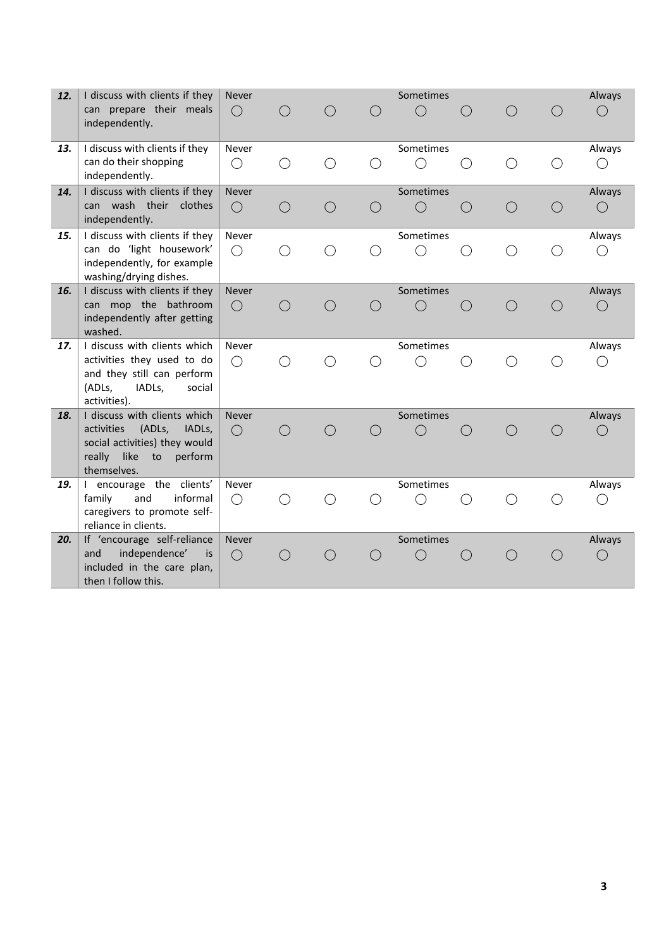| 12. | I discuss with clients if they<br>can prepare their meals<br>independently.                                                                                    | <b>Never</b><br>( )        |            |            |            | Sometimes<br>( )        |            |            |            | Always               |
|-----|----------------------------------------------------------------------------------------------------------------------------------------------------------------|----------------------------|------------|------------|------------|-------------------------|------------|------------|------------|----------------------|
| 13. | I discuss with clients if they<br>can do their shopping<br>independently.                                                                                      | Never<br>( )               | $\bigcirc$ |            | $( \ )$    | Sometimes<br>( )        |            |            |            | Always<br>( )        |
| 14. | I discuss with clients if they<br>can wash their clothes<br>independently.                                                                                     | <b>Never</b><br>$\bigcirc$ | $\bigcirc$ | $\bigcap$  | $\bigcirc$ | Sometimes<br>$\bigcirc$ | $\bigcirc$ | $\bigcirc$ | $\bigcirc$ | Always<br>$\bigcirc$ |
| 15. | I discuss with clients if they<br>can do 'light housework'<br>independently, for example<br>washing/drying dishes.                                             | Never<br>$\bigcirc$        | ◯          | $\bigcirc$ | O          | Sometimes<br>( )        | $\bigcirc$ | $\bigcirc$ | $\bigcirc$ | Always<br>( )        |
| 16. | I discuss with clients if they<br>can mop the bathroom<br>independently after getting<br>washed.                                                               | <b>Never</b><br>$\bigcirc$ | $\bigcirc$ | $\bigcap$  | $\bigcirc$ | Sometimes<br>$($ )      | $\bigcirc$ | $\bigcirc$ | ∩          | Always<br>( )        |
| 17. | I discuss with clients which<br>activities they used to do<br>and they still can perform<br>(ADLs,<br>IADL <sub>s</sub> ,<br>social<br>activities).            | Never<br>$\bigcirc$        |            |            |            | Sometimes               | ( )        |            |            | Always<br>( )        |
| 18. | I discuss with clients which<br>activities<br>(ADLs,<br>IADL <sub>s</sub> ,<br>social activities) they would<br>really<br>like<br>to<br>perform<br>themselves. | <b>Never</b><br>$\bigcirc$ | ( )        |            |            | Sometimes<br>$\bar{ }$  | $($ )      | $( \ )$    |            | Always<br>( )        |
| 19. | I encourage the clients'<br>family<br>and<br>informal<br>caregivers to promote self-<br>reliance in clients.                                                   | Never<br>$\bigcirc$        |            |            |            | Sometimes               |            |            |            | Always<br>$\bigcirc$ |
| 20. | If 'encourage self-reliance<br>independence'<br>and<br>is.<br>included in the care plan,<br>then I follow this.                                                | <b>Never</b><br>$\bigcirc$ | $( \ )$    | $( \ )$    | $( \ )$    | Sometimes               |            |            | $($ )      | Always<br>◯          |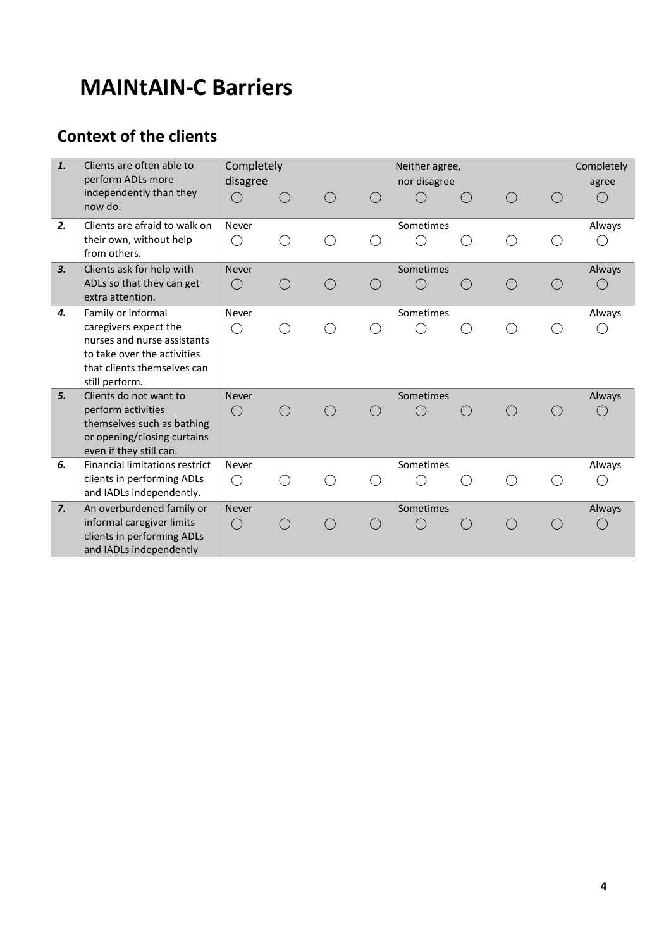## **MAINtAIN-C Barriers**

## **Context of the clients**

| 1. | Clients are often able to<br>perform ADLs more          | Completely<br>disagree |  | Neither agree,<br>nor disagree |  | Completely<br>agree |        |
|----|---------------------------------------------------------|------------------------|--|--------------------------------|--|---------------------|--------|
|    | independently than they<br>now do.                      | $\Box$                 |  |                                |  | $( \ )$             |        |
| 2. | Clients are afraid to walk on                           | Never                  |  | Sometimes                      |  |                     | Always |
|    | their own, without help<br>from others.                 | ( )                    |  |                                |  |                     | ( )    |
| 3. | Clients ask for help with                               | <b>Never</b>           |  | Sometimes                      |  |                     | Always |
|    | ADLs so that they can get<br>extra attention.           | $\bigcirc$             |  |                                |  | $( \ )$             | ( )    |
| 4. | Family or informal                                      | Never                  |  | Sometimes                      |  |                     | Always |
|    | caregivers expect the                                   | $\bigcirc$             |  |                                |  |                     |        |
|    | nurses and nurse assistants                             |                        |  |                                |  |                     |        |
|    | to take over the activities                             |                        |  |                                |  |                     |        |
|    | that clients themselves can<br>still perform.           |                        |  |                                |  |                     |        |
| 5. | Clients do not want to                                  | <b>Never</b>           |  | Sometimes                      |  |                     | Always |
|    | perform activities                                      | $\bigcirc$             |  |                                |  |                     |        |
|    | themselves such as bathing                              |                        |  |                                |  |                     |        |
|    | or opening/closing curtains                             |                        |  |                                |  |                     |        |
|    | even if they still can.                                 |                        |  |                                |  |                     |        |
| 6. | <b>Financial limitations restrict</b>                   | Never                  |  | Sometimes                      |  |                     | Always |
|    | clients in performing ADLs                              | ( )                    |  |                                |  |                     |        |
|    | and IADLs independently.                                |                        |  |                                |  |                     |        |
| 7. | An overburdened family or                               | <b>Never</b>           |  | Sometimes                      |  |                     | Always |
|    | informal caregiver limits<br>clients in performing ADLs | $\bigcirc$             |  |                                |  |                     | $(\ )$ |
|    | and IADLs independently                                 |                        |  |                                |  |                     |        |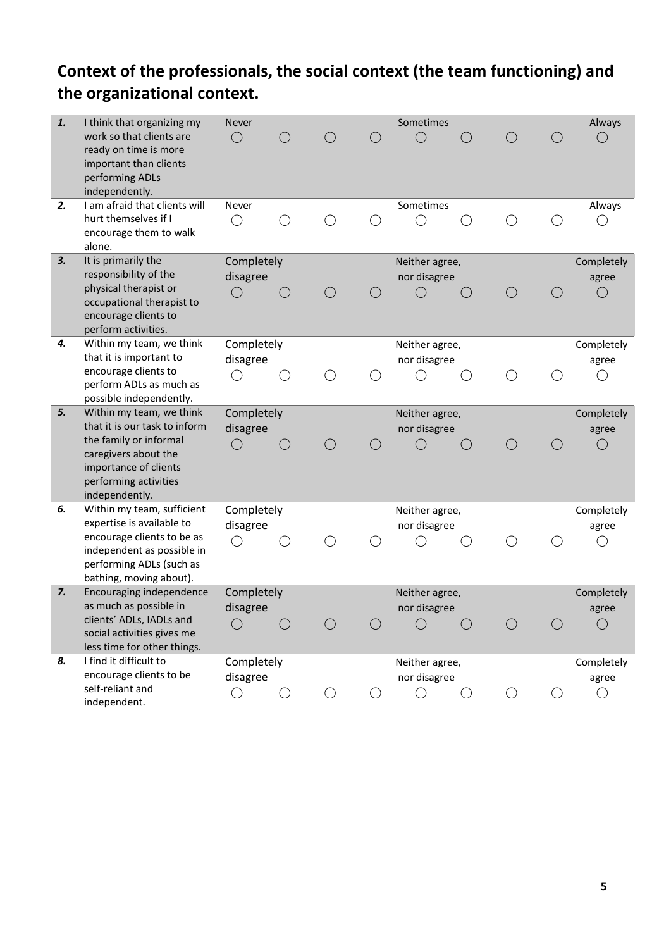### **Context of the professionals, the social context (the team functioning) and the organizational context.**

| 1. | I think that organizing my<br>work so that clients are<br>ready on time is more<br>important than clients<br>performing ADLs<br>independently.      | Never<br>$\bigcirc$                       |       |            |       | Sometimes<br>$( \ )$                    |                    |         |            | Always                     |
|----|-----------------------------------------------------------------------------------------------------------------------------------------------------|-------------------------------------------|-------|------------|-------|-----------------------------------------|--------------------|---------|------------|----------------------------|
| 2. | I am afraid that clients will<br>hurt themselves if I<br>encourage them to walk<br>alone.                                                           | Never<br>$\left(\right)$                  |       |            |       | Sometimes                               |                    |         |            | Always                     |
| 3. | It is primarily the<br>responsibility of the<br>physical therapist or<br>occupational therapist to<br>encourage clients to<br>perform activities.   | Completely<br>disagree<br>$\left(\right)$ | ( )   | $( \ )$    |       | Neither agree,<br>nor disagree<br>$($ ) | $\left( \ \right)$ | ( )     |            | Completely<br>agree<br>( ) |
| 4. | Within my team, we think<br>that it is important to<br>encourage clients to<br>perform ADLs as much as<br>possible independently.                   | Completely<br>disagree<br>$\bigcirc$      |       |            |       | Neither agree,<br>nor disagree          |                    |         |            | Completely<br>agree<br>( ) |
| 5. | Within my team, we think                                                                                                                            | Completely                                |       |            |       | Neither agree,                          |                    |         |            | Completely                 |
|    | that it is our task to inform<br>the family or informal<br>caregivers about the<br>importance of clients<br>performing activities<br>independently. | disagree<br>$\bigcirc$                    | $($ ) |            | $($ ) | nor disagree                            |                    | $( \ )$ |            | agree<br>$\bigcirc$        |
| 6. | Within my team, sufficient                                                                                                                          | Completely                                |       |            |       | Neither agree,                          |                    |         |            | Completely                 |
|    | expertise is available to<br>encourage clients to be as<br>independent as possible in<br>performing ADLs (such as<br>bathing, moving about).        | disagree<br>∩                             |       |            |       | nor disagree                            |                    |         |            | agree                      |
| 7. |                                                                                                                                                     |                                           |       |            |       |                                         |                    |         |            |                            |
|    | Encouraging independence<br>as much as possible in<br>clients' ADLs, IADLs and<br>social activities gives me<br>less time for other things.         | Completely<br>disagree<br>$(\ )$          | ( )   | $\bigcirc$ | ○     | Neither agree,<br>nor disagree<br>◯     | $\bigcirc$         |         | $\bigcirc$ | Completely<br>agree        |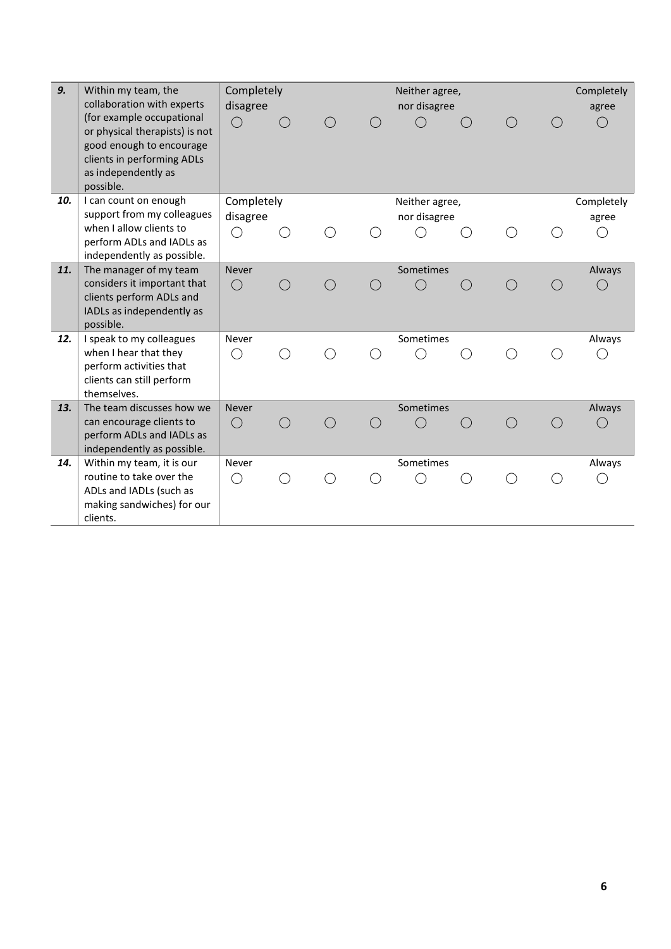| 9.  | Within my team, the<br>collaboration with experts<br>(for example occupational<br>or physical therapists) is not<br>good enough to encourage<br>clients in performing ADLs<br>as independently as<br>possible. | Completely<br>disagree<br>$\bigcirc$ |   |  | Neither agree,<br>nor disagree |     |  | Completely<br>agree<br>$($ ) |
|-----|----------------------------------------------------------------------------------------------------------------------------------------------------------------------------------------------------------------|--------------------------------------|---|--|--------------------------------|-----|--|------------------------------|
| 10. | I can count on enough                                                                                                                                                                                          | Completely                           |   |  | Neither agree,                 |     |  | Completely                   |
|     | support from my colleagues                                                                                                                                                                                     | disagree                             |   |  | nor disagree                   |     |  | agree                        |
|     | when I allow clients to                                                                                                                                                                                        | $(\ )$                               |   |  |                                |     |  |                              |
|     | perform ADLs and IADLs as                                                                                                                                                                                      |                                      |   |  |                                |     |  |                              |
| 11. | independently as possible.<br>The manager of my team                                                                                                                                                           | <b>Never</b>                         |   |  | Sometimes                      |     |  | Always                       |
|     | considers it important that                                                                                                                                                                                    | $\bigcirc$                           |   |  |                                | ( ) |  |                              |
|     | clients perform ADLs and                                                                                                                                                                                       |                                      |   |  |                                |     |  |                              |
|     | IADLs as independently as                                                                                                                                                                                      |                                      |   |  |                                |     |  |                              |
|     | possible.                                                                                                                                                                                                      |                                      |   |  |                                |     |  |                              |
| 12. | I speak to my colleagues                                                                                                                                                                                       | Never                                |   |  | Sometimes                      |     |  | Always                       |
|     | when I hear that they                                                                                                                                                                                          | ()                                   |   |  |                                |     |  |                              |
|     | perform activities that                                                                                                                                                                                        |                                      |   |  |                                |     |  |                              |
|     | clients can still perform                                                                                                                                                                                      |                                      |   |  |                                |     |  |                              |
|     | themselves.                                                                                                                                                                                                    |                                      |   |  |                                |     |  |                              |
| 13. | The team discusses how we                                                                                                                                                                                      | <b>Never</b>                         |   |  | Sometimes                      |     |  | Always                       |
|     | can encourage clients to                                                                                                                                                                                       | $\bigcirc$                           | ( |  |                                |     |  |                              |
|     | perform ADLs and IADLs as                                                                                                                                                                                      |                                      |   |  |                                |     |  |                              |
|     | independently as possible.                                                                                                                                                                                     |                                      |   |  |                                |     |  |                              |
| 14. | Within my team, it is our<br>routine to take over the                                                                                                                                                          | Never                                |   |  | Sometimes                      |     |  | Always                       |
|     |                                                                                                                                                                                                                | ()                                   |   |  |                                |     |  |                              |
|     | ADLs and IADLs (such as<br>making sandwiches) for our                                                                                                                                                          |                                      |   |  |                                |     |  |                              |
|     | clients.                                                                                                                                                                                                       |                                      |   |  |                                |     |  |                              |
|     |                                                                                                                                                                                                                |                                      |   |  |                                |     |  |                              |